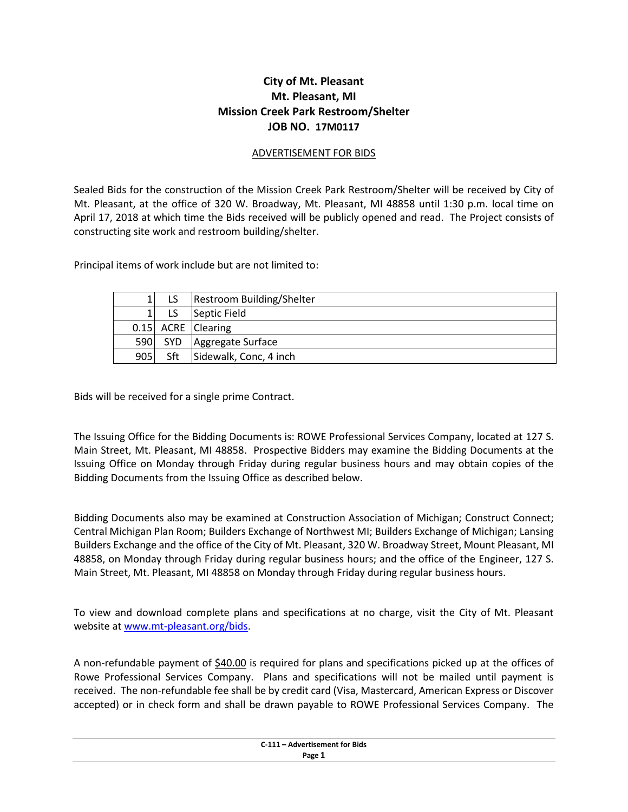## **City of Mt. Pleasant Mt. Pleasant, MI Mission Creek Park Restroom/Shelter JOB NO. 17M0117**

## ADVERTISEMENT FOR BIDS

Sealed Bids for the construction of the Mission Creek Park Restroom/Shelter will be received by City of Mt. Pleasant, at the office of 320 W. Broadway, Mt. Pleasant, MI 48858 until 1:30 p.m. local time on April 17, 2018 at which time the Bids received will be publicly opened and read. The Project consists of constructing site work and restroom building/shelter.

Principal items of work include but are not limited to:

| 1   |            | Restroom Building/Shelter |
|-----|------------|---------------------------|
|     |            | Septic Field              |
|     |            | 0.15 ACRE Clearing        |
| 590 | <b>SYD</b> | Aggregate Surface         |
| 905 | Sft        | Sidewalk, Conc, 4 inch    |

Bids will be received for a single prime Contract.

The Issuing Office for the Bidding Documents is: ROWE Professional Services Company, located at 127 S. Main Street, Mt. Pleasant, MI 48858. Prospective Bidders may examine the Bidding Documents at the Issuing Office on Monday through Friday during regular business hours and may obtain copies of the Bidding Documents from the Issuing Office as described below.

Bidding Documents also may be examined at Construction Association of Michigan; Construct Connect; Central Michigan Plan Room; Builders Exchange of Northwest MI; Builders Exchange of Michigan; Lansing Builders Exchange and the office of the City of Mt. Pleasant, 320 W. Broadway Street, Mount Pleasant, MI 48858, on Monday through Friday during regular business hours; and the office of the Engineer, 127 S. Main Street, Mt. Pleasant, MI 48858 on Monday through Friday during regular business hours.

To view and download complete plans and specifications at no charge, visit the City of Mt. Pleasant website at [www.mt-pleasant.org/bids.](http://www.mt-pleasant.org/bids)

A non-refundable payment of \$40.00 is required for plans and specifications picked up at the offices of Rowe Professional Services Company. Plans and specifications will not be mailed until payment is received. The non-refundable fee shall be by credit card (Visa, Mastercard, American Express or Discover accepted) or in check form and shall be drawn payable to ROWE Professional Services Company. The

| C-111 - Advertisement for Bids<br>. |
|-------------------------------------|
| Page 1                              |